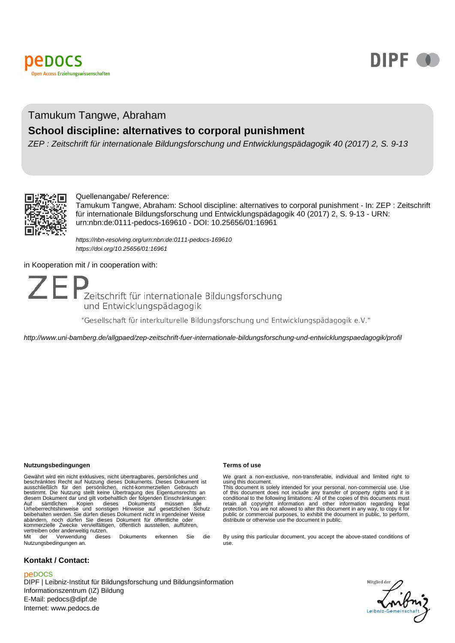



# Tamukum Tangwe, Abraham **School discipline: alternatives to corporal punishment**

ZEP : Zeitschrift für internationale Bildungsforschung und Entwicklungspädagogik 40 (2017) 2, S. 9-13



# Quellenangabe/ Reference:

Tamukum Tangwe, Abraham: School discipline: alternatives to corporal punishment - In: ZEP : Zeitschrift für internationale Bildungsforschung und Entwicklungspädagogik 40 (2017) 2, S. 9-13 - URN: urn:nbn:de:0111-pedocs-169610 - DOI: 10.25656/01:16961

<https://nbn-resolving.org/urn:nbn:de:0111-pedocs-169610> <https://doi.org/10.25656/01:16961>

in Kooperation mit / in cooperation with:

ZEP<br>Zeitschrift für internationale Bildungsforschung<br>und Entwicklungspädagogik

"Gesellschaft für interkulturelle Bildungsforschung und Entwicklungspädagogik e.V."

http://www.uni-bamberg.de/allgpaed/zep-zeitschrift-fuer-internationale-bildungsforschung-und-entwicklungspaedagogik/profil

# **Nutzungsbedingungen Terms of use**

Gewährt wird ein nicht exklusives, nicht übertragbares, persönliches und<br>beschränktes Recht auf Nutzung dieses Dokuments. Dieses Dokument ist<br>ausschließlich für den persönlichen, nicht-kommerziellen Gebrauch<br>bestimmt. Die Auf sämtlichen Kopien dieses Dokuments müssen alle Urheberrechtshinweise und sonstigen Hinweise auf gesetzlichen Schutz beibehalten werden. Sie dürfen dieses Dokument nicht in irgendeiner Weise abändern, noch dürfen Sie dieses Dokument für öffentliche oder kommerzielle Zwecke vervielfältigen, öffentlich ausstellen, aufführen, vertreiben oder anderweitig nutzen. Mit der Verwendung dieses Dokuments erkennen Sie die

Nutzungsbedingungen an.

# **Kontakt / Contact:**

# peDOCS

DIPF | Leibniz-Institut für Bildungsforschung und Bildungsinformation Informationszentrum (IZ) Bildung E-Mail: pedocs@dipf.de Internet: www.pedocs.de

We grant a non-exclusive, non-transferable, individual and limited right to

using this document.<br>This document is solely intended for your personal, non-commercial use. Use<br>of this document is solely intended for your personal, non-commercial use. Use<br>of this document does not include any transfer

By using this particular document, you accept the above-stated conditions of use.

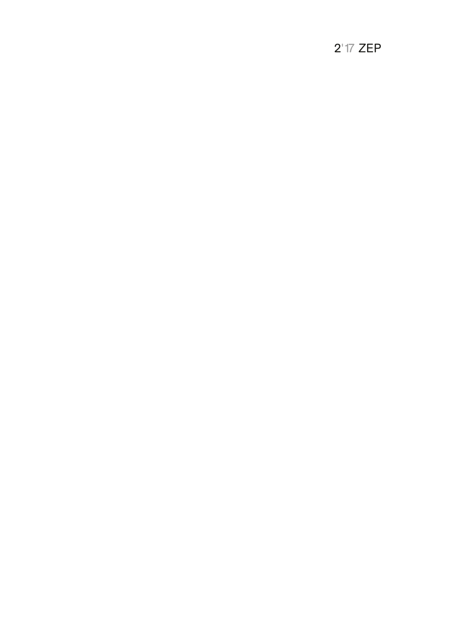# 2'17 ZEP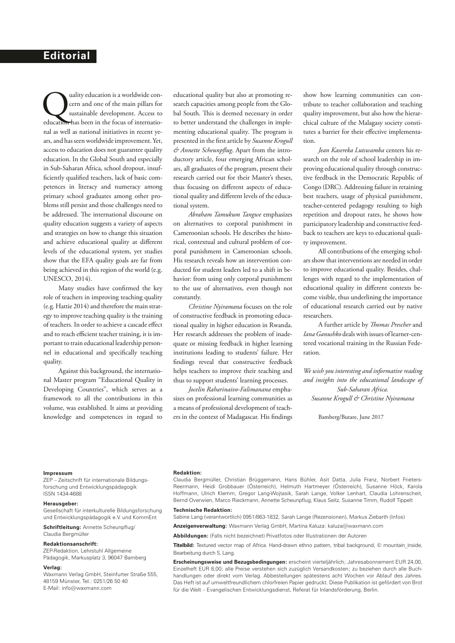ality education is a worldwide concern and one of the main pillars for sustainable development. Access to education has been in the focus of internatiocern and one of the main pillars for sustainable development. Access to nal as well as national initiatives in recent years, and has seen worldwide improvement. Yet, access to education does not guarantee quality education. In the Global South and especially in Sub-Saharan Africa, school dropout, insufficiently qualified teachers, lack of basic competences in literacy and numeracy among primary school graduates among other problems still persist and those challenges need to be addressed. The international discourse on quality education suggests a variety of aspects and strategies on how to change this situation and achieve educational quality at different levels of the educational system, yet studies show that the EFA quality goals are far from being achieved in this region of the world (e.g. UNESCO, 2014).

Many studies have confirmed the key role of teachers in improving teaching quality (e.g. Hattie 2014) and therefore the main strategy to improve teaching quality is the training of teachers. In order to achieve a cascade effect and to reach efficient teacher training, it is important to train educational leadership personnel in educational and specifically teaching quality.

Against this background, the international Master program "Educational Quality in Developing Countries", which serves as a framework to all the contributions in this volume, was established. It aims at providing knowledge and competences in regard to educational quality but also at promoting research capacities among people from the Global South. This is deemed necessary in order to better understand the challenges in implementing educational quality. The program is presented in the first article by *Susanne Krogull & Annette Scheunpflug*. Apart from the introductory article, four emerging African scholars, all graduates of the program, present their research carried out for their Master's theses, thus focusing on different aspects of educational quality and different levels of the educational system.

*Abraham Tamukum Tangwe* emphasizes on alternatives to corporal punishment in Cameroonian schools. He describes the historical, contextual and cultural problem of corporal punishment in Cameroonian schools. His research reveals how an intervention conducted for student leaders led to a shift in behavior: from using only corporal punishment to the use of alternatives, even though not constantly.

*Christine Nyiramana* focuses on the role of constructive feedback in promoting educational quality in higher education in Rwanda. Her research addresses the problem of inadequate or missing feedback in higher learning institutions leading to students' failure. Her findings reveal that constructive feedback helps teachers to improve their teaching and thus to support students' learning processes.

*Jocelin Raharinaivo-Falimanana* emphasizes on professional learning communities as a means of professional development of teachers in the context of Madagascar. His findings

show how learning communities can contribute to teacher collaboration and teaching quality improvement, but also how the hierarchical culture of the Malagasy society constitutes a barrier for their effective implementation.

*Jean Kasereka Lutswamba* centers his research on the role of school leadership in improving educational quality through constructive feedback in the Democratic Republic of Congo (DRC). Addressing failure in retaining best teachers, usage of physical punishment, teacher-centered pedagogy resulting to high repetition and dropout rates, he shows how participatory leadership and constructive feedback to teachers are keys to educational quality improvement.

All contributions of the emerging scholars show that interventions are needed in order to improve educational quality. Besides, challenges with regard to the implementation of educational quality in different contexts become visible, thus underlining the importance of educational research carried out by native researchers.

A further article by *Thomas Prescher* and *Iana Ganushko* deals with issues of learner-centered vocational training in the Russian Federation.

*We wish you interesting and informative reading and insights into the educational landscape of Sub-Saharan Africa. Susanne Krogull & Christine Nyiramana*

Bamberg/Butare, June 2017

### **Impressum**

ZEP – Zeitschrift für internationale Bildungsforschung und Entwicklungspädagogik ISSN 1434-4688

# **Herausgeber:**

Gesellschaft für interkulturelle Bildungsforschung und Entwicklungspädagogik e.V. und KommEnt

**Schriftleitung:** Annette Scheunpflug/ Claudia Bergmüller

### **Redaktionsanschrift:**

ZEP-Redaktion, Lehrstuhl Allgemeine Pädagogik, Markusplatz 3, 96047 Bamberg

### **Verlag:**

Waxmann Verlag GmbH, Steinfurter Straße 555, 48159 Münster, Tel.: 0251/26 50 40 E-Mail: info@waxmann.com

### **Redaktion:**

Claudia Bergmüller, Christian Brüggemann, Hans Bühler, Asit Datta, Julia Franz, Norbert Frieters-Reermann, Heidi Grobbauer (Österreich), Helmuth Hartmeyer (Österreich), Susanne Höck, Karola Hoffmann, Ulrich Klemm, Gregor Lang-Wojtasik, Sarah Lange, Volker Lenhart, Claudia Lohrenscheit, Bernd Overwien, Marco Rieckmann, Annette Scheunpflug, Klaus Seitz, Susanne Timm, Rudolf Tippelt

**Technische Redaktion:**

Sabine Lang (verantwortlich) 0951/863-1832, Sarah Lange (Rezensionen), Markus Ziebarth (Infos)

**Anzeigenverwaltung:** Waxmann Verlag GmbH, Martina Kaluza: kaluza@waxmann.com

**Abbildungen:** (Falls nicht bezeichnet) Privatfotos oder Illustrationen der Autoren

**Titelbild:** Textured vector map of Africa. Hand-drawn ethno pattern, tribal background, © mountain\_inside, Bearbeitung durch S. Lang.

**Erscheinungsweise und Bezugsbedingungen:** erscheint vierteljährlich; Jahresabonnement EUR 24,00, Einzelheft EUR 8,00; alle Preise verstehen sich zuzüglich Versandkosten; zu beziehen durch alle Buchhandlungen oder direkt vom Verlag. Abbestellungen spätestens acht Wochen vor Ablauf des Jahres. Das Heft ist auf umweltfreundlichem chlorfreien Papier gedruckt. Diese Publikation ist gefördert von Brot für die Welt – Evangelischen Entwicklungsdienst, Referat für Inlandsförderung, Berlin.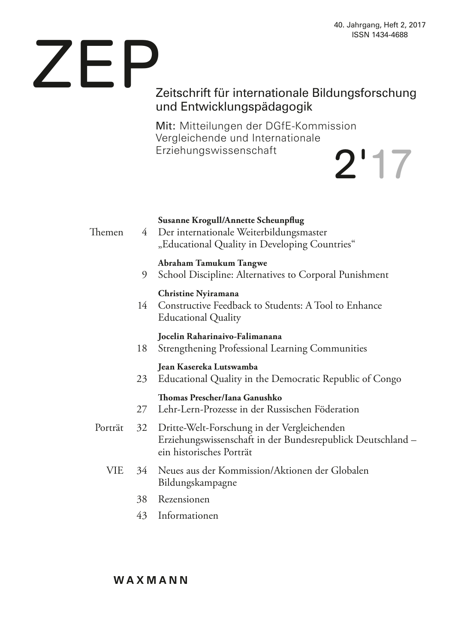# ZEP

# Zeitschrift für internationale Bildungsforschung und Entwicklungspädagogik

Mit: Mitteilungen der DGfE-Kommission Vergleichende und Internationale Erziehungswissenschaft 2'17

 **Susanne Krogull/Annette Scheunpflug** Themen 4 Der internationale Weiterbildungsmaster "Educational Quality in Developing Countries"  **Abraham Tamukum Tangwe** 9 School Discipline: Alternatives to Corporal Punishment  **Christine Nyiramana** 14 Constructive Feedback to Students: A Tool to Enhance Educational Quality **Jocelin Raharinaivo-Falimanana** 18 Strengthening Professional Learning Communities **Jean Kasereka Lutswamba** 23 Educational Quality in the Democratic Republic of Congo **Thomas Prescher/Iana Ganushko** 27 Lehr-Lern-Prozesse in der Russischen Föderation Porträt 32 Dritte-Welt-Forschung in der Vergleichenden Erziehungswissenschaft in der Bundesrepublick Deutschland – ein historisches Porträt VIE 34 Neues aus der Kommission/Aktionen der Globalen Bildungskampagne 38 Rezensionen 43 Informationen

# **WAXMANN**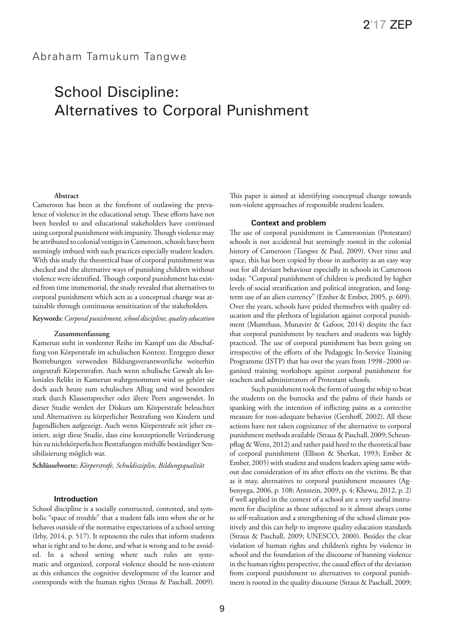# Abraham Tamukum Tangwe

# School Discipline: Alternatives to Corporal Punishment

# **Abstract**

Cameroon has been at the forefront of outlawing the prevalence of violence in the educational setup. These efforts have not been heeded to and educational stakeholders have continued using corporal punishment with impunity. Though violence may be attributed to colonial vestiges in Cameroon, schools have been seemingly imbued with such practices especially student leaders. With this study the theoretical base of corporal punishment was checked and the alternative ways of punishing children without violence were identified. Though corporal punishment has existed from time immemorial, the study revealed that alternatives to corporal punishment which acts as a conceptual change was attainable through continuous sensitization of the stakeholders.

**Keywords:***Corporal punishment, school discipline, quality education*

# **Zusammenfassung**

Kamerun steht in vorderster Reihe im Kampf um die Abschaffung von Körperstrafe im schulischen Kontext. Entgegen dieser Bestrebungen verwenden Bildungsverantwortliche weiterhin ungestraft Körperstrafen. Auch wenn schulische Gewalt als koloniales Relikt in Kamerun wahrgenommen wird so gehört sie doch auch heute zum schulischen Alltag und wird besonders stark durch Klassensprecher oder ältere Peers angewendet. In dieser Studie werden der Diskurs um Körperstrafe beleuchtet und Alternativen zu körperlicher Bestrafung von Kindern und Jugendlichen aufgezeigt. Auch wenn Körperstrafe seit jeher existiert, zeigt diese Studie, dass eine konzeptionelle Veränderung hin zu nichtkörperlichen Bestrafungen mithilfe beständiger Sensibilisierung möglich war.

**Schlüsselworte:** *Körperstrafe, Schuldisziplin, Bildungsqualität*

# **Introduction**

School discipline is a socially constructed, contested, and symbolic "space of trouble" that a student falls into when she or he behaves outside of the normative expectations of a school setting (Irby, 2014, p. 517). It represents the rules that inform students what is right and to be done, and what is wrong and to be avoided. In a school setting where such rules are systematic and organized, corporal violence should be non-existent as this enhances the cognitive development of the learner and corresponds with the human rights (Straus & Paschall, 2009).

This paper is aimed at identifying conceptual change towards non-violent approaches of responsible student leaders.

# **Context and problem**

The use of corporal punishment in Cameroonian (Protestant) schools is not accidental but seemingly rooted in the colonial history of Cameroon (Tangwe & Paul, 2009). Over time and space, this has been copied by those in authority as an easy way out for all deviant behaviour especially in schools in Cameroon today. "Corporal punishment of children is predicted by higher levels of social stratification and political integration, and longterm use of an alien currency" (Ember & Ember, 2005, p. 609). Over the years, schools have prided themselves with quality education and the plethora of legislation against corporal punishment (Mumthass, Munavirr & Gafoor, 2014) despite the fact that corporal punishment by teachers and students was highly practiced. The use of corporal punishment has been going on irrespective of the efforts of the Pedagogic In-Service Training Programme (ISTP) that has over the years from 1998−2000 organized training workshops against corporal punishment for teachers and administrators of Protestant schools.

Such punishment took the form of using the whip to beat the students on the buttocks and the palms of their hands or spanking with the intention of inflicting pains as a corrective measure for non-adequate behavior (Gershoff, 2002). All these actions have not taken cognizance of the alternative to corporal punishment methods available (Straus & Paschall, 2009; Scheunpflug & Wenz, 2012) and rather paid heed to the theoretical base of corporal punishment (Ellison & Sherkat, 1993; Ember & Ember, 2005) with student and student leaders aping same without due consideration of its after effects on the victims. Be that as it may, alternatives to corporal punishment measures (Agbenyega, 2006, p. 108; Arnstein, 2009, p. 4; Khewu, 2012, p. 2) if well applied in the context of a school are a very useful instrument for discipline as those subjected to it almost always come to self-realization and a strengthening of the school climate positively and this can help to improve quality education standards (Straus & Paschall, 2009; UNESCO, 2000). Besides the clear violation of human rights and children's rights by violence in school and the foundation of the discourse of banning violence in the human rights perspective, the causal effect of the deviation from corporal punishment to alternatives to corporal punishment is rooted in the quality discourse (Straus & Paschall, 2009;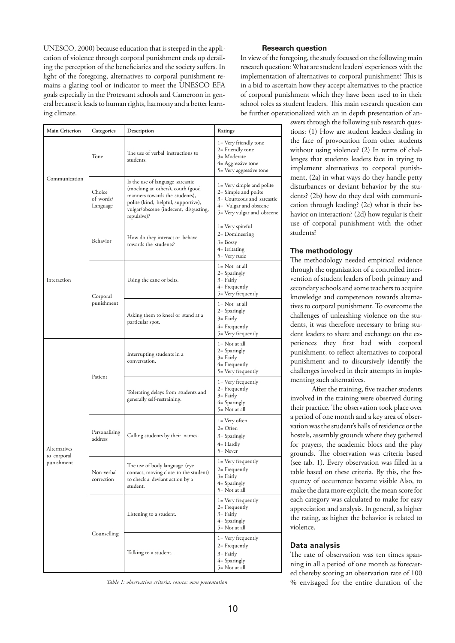UNESCO, 2000) because education that is steeped in the application of violence through corporal punishment ends up derailing the perception of the beneficiaries and the society suffers. In light of the foregoing, alternatives to corporal punishment remains a glaring tool or indicator to meet the UNESCO EFA goals especially in the Protestant schools and Cameroon in general because it leads to human rights, harmony and a better learning climate.

| Main Criterion                            | Categories                      | Description                                                                                                                                                                                           | Ratings                                                                                                                                   |
|-------------------------------------------|---------------------------------|-------------------------------------------------------------------------------------------------------------------------------------------------------------------------------------------------------|-------------------------------------------------------------------------------------------------------------------------------------------|
| Communication                             | Tone                            | The use of verbal instructions to<br>students.                                                                                                                                                        | 1= Very friendly tone<br>2= Friendly tone<br>3= Moderate<br>$4 =$ Aggressive tone<br>5= Very aggressive tone                              |
|                                           | Choice<br>of words/<br>Language | Is the use of language sarcastic<br>(mocking at others), couth (good<br>manners towards the students),<br>polite (kind, helpful, supportive),<br>vulgar/obscene (indecent, disgusting,<br>repulsive)? | 1= Very simple and polite<br>2= Simple and polite<br>3= Courteous and sarcastic<br>$4 =$ Vulgar and obscene<br>5= Very vulgar and obscene |
|                                           | Behavior                        | How do they interact or behave<br>towards the students?                                                                                                                                               | $1 =$ Very spiteful<br>2= Domineering<br>$3 =$ Bossy<br>4= Irritating<br>5= Very rude                                                     |
| Interaction                               | Corporal<br>punishment          | Using the cane or belts.                                                                                                                                                                              | $1 = Not$ at all<br>$2 =$ Sparingly<br>3= Fairly<br>$4=$ Frequently<br>5= Very frequently                                                 |
|                                           |                                 | Asking them to kneel or stand at a<br>particular spot.                                                                                                                                                | 1= Not at all<br>$2 =$ Sparingly<br>$3=$ Fairly<br>4= Frequently<br>5= Very frequently                                                    |
| Alternatives<br>to corporal<br>punishment | Patient                         | Interrupting students in a<br>conversation.                                                                                                                                                           | $l = Not$ at all<br>2= Sparingly<br>3= Fairly<br>4= Frequently<br>5= Very frequently                                                      |
|                                           |                                 | Tolerating delays from students and<br>generally self-restraining.                                                                                                                                    | 1= Very frequently<br>2= Frequently<br>3= Fairly<br>$4 =$ Sparingly<br>5= Not at all                                                      |
|                                           | Personalising<br>address        | Calling students by their names.                                                                                                                                                                      | $l = Very$ often<br>$2=$ Often<br>3= Sparingly<br>$4 =$ Hardly<br>5= Never                                                                |
|                                           | Non-verbal<br>correction        | The use of body language (eye<br>contact, moving close to the student)<br>to check a deviant action by a<br>student.                                                                                  | $1 =$ Very frequently<br>2= Frequently<br>3= Fairly<br>$4 =$ Sparingly<br>5= Not at all                                                   |
|                                           | Counselling                     | Listening to a student.                                                                                                                                                                               | $1 =$ Very frequently<br>2= Frequently<br>3= Fairly<br>$4 =$ Sparingly<br>5= Not at all                                                   |
|                                           |                                 | Talking to a student.                                                                                                                                                                                 | $1 =$ Very frequently<br>2= Frequently<br>$3=$ Fairly<br>4= Sparingly<br>5= Not at all                                                    |

*Table 1: observation criteria; source: own presentation*

# **Research question**

In view of the foregoing, the study focused on the following main research question: What are student leaders' experiences with the implementation of alternatives to corporal punishment? This is in a bid to ascertain how they accept alternatives to the practice of corporal punishment which they have been used to in their school roles as student leaders. This main research question can be further operationalized with an in depth presentation of an-

> swers through the following sub research questions: (1) How are student leaders dealing in the face of provocation from other students without using violence? (2) In terms of challenges that students leaders face in trying to implement alternatives to corporal punishment, (2a) in what ways do they handle petty disturbances or deviant behavior by the students? (2b) how do they deal with communication through leading? (2c) what is their behavior on interaction? (2d) how regular is their use of corporal punishment with the other students?

# **The methodology**

The methodology needed empirical evidence through the organization of a controlled intervention of student leaders of both primary and secondary schools and some teachers to acquire knowledge and competences towards alternatives to corporal punishment. To overcome the challenges of unleashing violence on the students, it was therefore necessary to bring student leaders to share and exchange on the experiences they first had with corporal punishment, to reflect alternatives to corporal punishment and to discursively identify the challenges involved in their attempts in implementing such alternatives.

After the training, five teacher students involved in the training were observed during their practice. The observation took place over a period of one month and a key area of observation was the student's halls of residence or the hostels, assembly grounds where they gathered for prayers, the academic blocs and the play grounds. The observation was criteria based (see tab. 1). Every observation was filled in a table based on these criteria. By this, the frequency of occurrence became visible Also, to make the data more explicit, the mean score for each category was calculated to make for easy appreciation and analysis. In general, as higher the rating, as higher the behavior is related to violence.

# **Data analysis**

The rate of observation was ten times spanning in all a period of one month as forecasted thereby scoring an observation rate of 100 % envisaged for the entire duration of the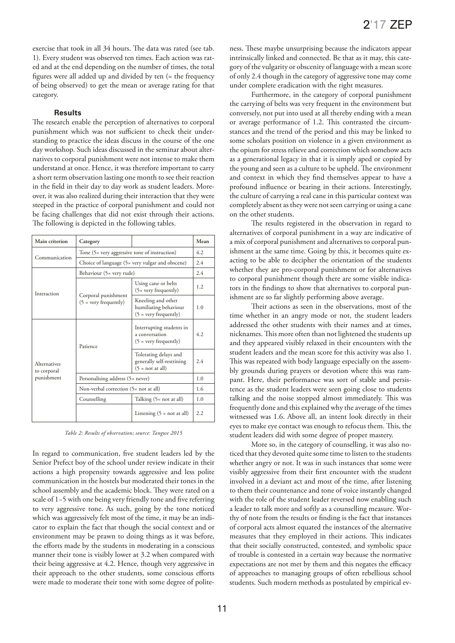exercise that took in all 34 hours. The data was rated (see tab. 1). Every student was observed ten times. Each action was rated and at the end depending on the number of times, the total figures were all added up and divided by ten (= the frequency of being observed) to get the mean or average rating for that category.

# **Results**

The research enable the perception of alternatives to corporal punishment which was not sufficient to check their understanding to practice the ideas discuss in the course of the one day workshop. Such ideas discussed in the seminar about alternatives to corporal punishment were not intense to make them understand at once. Hence, it was therefore important to carry a short term observation lasting one month to see their reaction in the field in their day to day work as student leaders. Moreover, it was also realized during their interaction that they were steeped in the practice of corporal punishment and could not be facing challenges that did not exist through their actions. The following is depicted in the following tables.

| Main criterion                            | Category                                              |                                                                               | Mean |
|-------------------------------------------|-------------------------------------------------------|-------------------------------------------------------------------------------|------|
| Communication                             | Tone (5= very aggressive tone of instruction)         |                                                                               | 4.2  |
|                                           | Choice of language (5= very vulgar and obscene)       |                                                                               |      |
|                                           | Behaviour (5= very rude)                              |                                                                               |      |
| Interaction                               |                                                       | Using cane or belts<br>$(5 = \text{very frequently})$                         | 1.2  |
|                                           | Corporal punishment<br>$(5 = \text{very frequently})$ | Kneeling and other<br>humiliating behaviour<br>$(5 = \text{very frequently})$ | 1.0  |
| Alternatives<br>to corporal<br>punishment | Patience                                              | Interrupting students in<br>a conversation<br>$(5 = \text{very frequently})$  | 4.2  |
|                                           |                                                       | Tolerating delays and<br>generally self-restrining<br>$(5 = not at all)$      | 2.4  |
|                                           | Personalising address (5= never)                      | 1.0                                                                           |      |
|                                           | Non-verbal correction (5= not at all)                 | 1.6                                                                           |      |
|                                           | Counselling                                           | Talking (5= not at all)                                                       | 1.0  |
|                                           |                                                       | Listening $(5 = not at all)$                                                  | 2.2  |

*Table 2: Results of observation; source: Tangwe 2015*

In regard to communication, five student leaders led by the Senior Prefect boy of the school under review indicate in their actions a high propensity towards aggressive and less polite communication in the hostels but moderated their tones in the school assembly and the academic block. They were rated on a scale of 1−5 with one being very friendly tone and five referring to very aggressive tone. As such, going by the tone noticed which was aggressively felt most of the time, it may be an indicator to explain the fact that though the social context and or environment may be prawn to doing things as it was before, the efforts made by the students in moderating in a conscious manner their tone is visibly lower at 3.2 when compared with their being aggressive at 4.2. Hence, though very aggressive in their approach to the other students, some conscious efforts were made to moderate their tone with some degree of polite-

ness. These maybe unsurprising because the indicators appear intrinsically linked and connected. Be that as it may, this category of the vulgarity or obscenity of language with a mean score of only 2.4 though in the category of aggressive tone may come under complete eradication with the right measures.

Furthermore, in the category of corporal punishment the carrying of belts was very frequent in the environment but conversely, not put into used at all thereby ending with a mean or average performance of 1.2. This contrasted the circumstances and the trend of the period and this may be linked to some scholars position on violence in a given environment as the opium for stress relieve and correction which somehow acts as a generational legacy in that it is simply aped or copied by the young and seen as a culture to be upheld. The environment and context in which they find themselves appear to have a profound influence or bearing in their actions. Interestingly, the culture of carrying a real cane in this particular context was completely absent as they were not seen carrying or using a cane on the other students.

The results registered in the observation in regard to alternatives of corporal punishment in a way are indicative of a mix of corporal punishment and alternatives to corporal punishment at the same time. Going by this, it becomes quite exacting to be able to decipher the orientation of the students whether they are pro-corporal punishment or for alternatives to corporal punishment though there are some visible indicators in the findings to show that alternatives to corporal punishment are so far slightly performing above average.

Their actions as seen in the observations, most of the time whether in an angry mode or not, the student leaders addressed the other students with their names and at times, nicknames. This more often than not lightened the students up and they appeared visibly relaxed in their encounters with the student leaders and the mean score for this activity was also 1. This was repeated with body language especially on the assembly grounds during prayers or devotion where this was rampant. Here, their performance was sort of stable and persistence as the student leaders were seen going close to students talking and the noise stopped almost immediately. This was frequently done and this explained why the average of the times witnessed was 1.6. Above all, an intent look directly in their eyes to make eye contact was enough to refocus them. This, the student leaders did with some degree of proper mastery.

More so, in the category of counselling, it was also noticed that they devoted quite some time to listen to the students whether angry or not. It was in such instances that some were visibly aggressive from their first encounter with the student involved in a deviant act and most of the time, after listening to them their countenance and tone of voice instantly changed with the role of the student leader reversed now enabling such a leader to talk more and softly as a counselling measure. Worthy of note from the results or finding is the fact that instances of corporal acts almost equated the instances of the alternative measures that they employed in their actions. This indicates that their socially constructed, contested, and symbolic space of trouble is contested in a certain way because the normative expectations are not met by them and this negates the efficacy of approaches to managing groups of often rebellious school students. Such modern methods as postulated by empirical ev-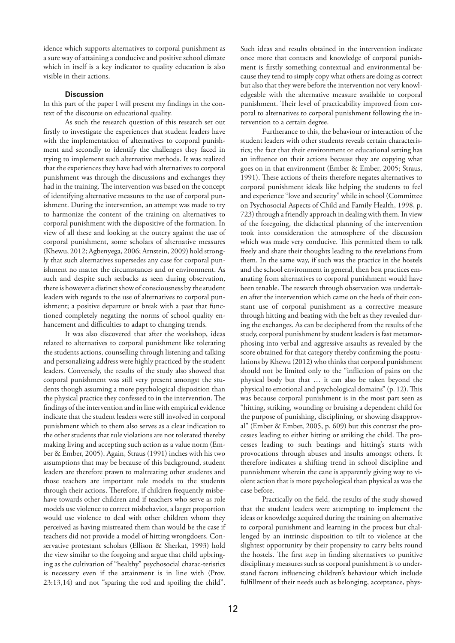idence which supports alternatives to corporal punishment as a sure way of attaining a conducive and positive school climate which in itself is a key indicator to quality education is also visible in their actions.

# **Discussion**

In this part of the paper I will present my findings in the context of the discourse on educational quality.

As such the research question of this research set out firstly to investigate the experiences that student leaders have with the implementation of alternatives to corporal punishment and secondly to identify the challenges they faced in trying to implement such alternative methods. It was realized that the experiences they have had with alternatives to corporal punishment was through the discussions and exchanges they had in the training. The intervention was based on the concept of identifying alternative measures to the use of corporal punishment. During the intervention, an attempt was made to try to harmonize the content of the training on alternatives to corporal punishment with the dispositive of the formation. In view of all these and looking at the outcry against the use of corporal punishment, some scholars of alternative measures (Khewu, 2012; Agbenyega, 2006; Arnstein, 2009) hold strongly that such alternatives supersedes any case for corporal punishment no matter the circumstances and or environment. As such and despite such setbacks as seen during observation, there is however a distinct show of consciousness by the student leaders with regards to the use of alternatives to corporal punishment; a positive departure or break with a past that functioned completely negating the norms of school quality enhancement and difficulties to adapt to changing trends.

It was also discovered that after the workshop, ideas related to alternatives to corporal punishment like tolerating the students actions, counselling through listening and talking and personalizing address were highly practiced by the student leaders. Conversely, the results of the study also showed that corporal punishment was still very present amongst the students though assuming a more psychological disposition than the physical practice they confessed to in the intervention. The findings of the intervention and in line with empirical evidence indicate that the student leaders were still involved in corporal punishment which to them also serves as a clear indication to the other students that rule violations are not tolerated thereby making living and accepting such action as a value norm (Ember & Ember, 2005). Again, Straus (1991) inches with his two assumptions that may be because of this background, student leaders are therefore prawn to maltreating other students and those teachers are important role models to the students through their actions. Therefore, if children frequently misbehave towards other children and if teachers who serve as role models use violence to correct misbehavior, a larger proportion would use violence to deal with other children whom they perceived as having mistreated them than would be the case if teachers did not provide a model of hitting wrongdoers. Conservative protestant scholars (Ellison & Sherkat, 1993) hold the view similar to the forgoing and argue that child upbringing as the cultivation of "healthy" psychosocial charac-teristics is necessary even if the attainment is in line with (Prov. 23:13,14) and not "sparing the rod and spoiling the child".

Such ideas and results obtained in the intervention indicate once more that contacts and knowledge of corporal punishment is firstly something contextual and environmental because they tend to simply copy what others are doing as correct but also that they were before the intervention not very knowledgeable with the alternative measure available to corporal punishment. Their level of practicability improved from corporal to alternatives to corporal punishment following the intervention to a certain degree.

Furtherance to this, the behaviour or interaction of the student leaders with other students reveals certain characteristics; the fact that their environment or educational setting has an influence on their actions because they are copying what goes on in that environment (Ember & Ember, 2005; Straus, 1991). These actions of theirs therefore negates alternatives to corporal punishment ideals like helping the students to feel and experience "love and security" while in school (Committee on Psychosocial Aspects of Child and Family Health, 1998, p. 723) through a friendly approach in dealing with them. In view of the foregoing, the didactical planning of the intervention took into consideration the atmosphere of the discussion which was made very conducive. This permitted them to talk freely and share their thoughts leading to the revelations from them. In the same way, if such was the practice in the hostels and the school environment in general, then best practices emanating from alternatives to corporal punishment would have been tenable. The research through observation was undertaken after the intervention which came on the heels of their constant use of corporal punishment as a corrective measure through hitting and beating with the belt as they revealed during the exchanges. As can be deciphered from the results of the study, corporal punishment by student leaders is fast metamorphosing into verbal and aggressive assaults as revealed by the score obtained for that category thereby confirming the postulations by Khewu (2012) who thinks that corporal punishment should not be limited only to the "infliction of pains on the physical body but that … it can also be taken beyond the physical to emotional and psychological domains" (p. 12). This was because corporal punishment is in the most part seen as "hitting, striking, wounding or bruising a dependent child for the purpose of punishing, disciplining, or showing disapproval" (Ember & Ember, 2005, p. 609) but this contrast the processes leading to either hitting or striking the child. The processes leading to such beatings and hitting's starts with provocations through abuses and insults amongst others. It therefore indicates a shifting trend in school discipline and punnishment wherein the cane is apparently giving way to violent action that is more psychological than physical as was the case before.

Practically on the field, the results of the study showed that the student leaders were attempting to implement the ideas or knowledge acquired during the training on alternative to corporal punishment and learning in the process but challenged by an intrinsic disposition to tilt to violence at the slightest opportunity by their propensity to carry belts round the hostels. The first step in finding alternatives to punitive disciplinary measures such as corporal punishment is to understand factors influencing children's behaviour which include fulfillment of their needs such as belonging, acceptance, phys-